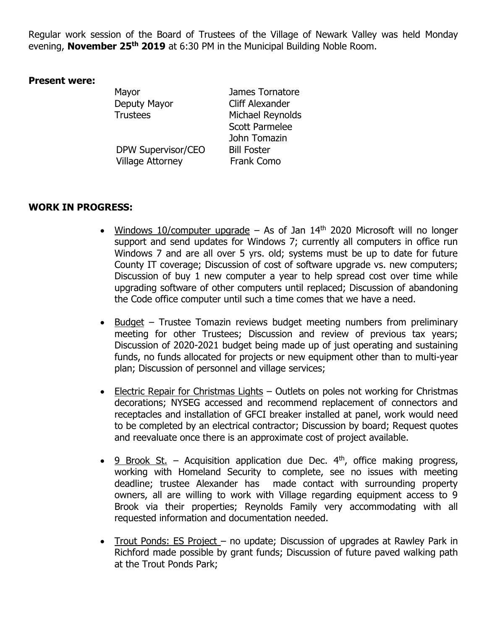Regular work session of the Board of Trustees of the Village of Newark Valley was held Monday evening, **November 25th 2019** at 6:30 PM in the Municipal Building Noble Room.

## **Present were:**

DPW Supervisor/CEO Bill Foster Village Attorney Frank Como

Mayor **Mayor** James Tornatore Deputy Mayor Cliff Alexander Trustees Michael Reynolds Scott Parmelee John Tomazin

## **WORK IN PROGRESS:**

- Windows 10/computer upgrade As of Jan  $14<sup>th</sup>$  2020 Microsoft will no longer support and send updates for Windows 7; currently all computers in office run Windows 7 and are all over 5 yrs. old; systems must be up to date for future County IT coverage; Discussion of cost of software upgrade vs. new computers; Discussion of buy 1 new computer a year to help spread cost over time while upgrading software of other computers until replaced; Discussion of abandoning the Code office computer until such a time comes that we have a need.
- Budget Trustee Tomazin reviews budget meeting numbers from preliminary meeting for other Trustees; Discussion and review of previous tax years; Discussion of 2020-2021 budget being made up of just operating and sustaining funds, no funds allocated for projects or new equipment other than to multi-year plan; Discussion of personnel and village services;
- Electric Repair for Christmas Lights Outlets on poles not working for Christmas decorations; NYSEG accessed and recommend replacement of connectors and receptacles and installation of GFCI breaker installed at panel, work would need to be completed by an electrical contractor; Discussion by board; Request quotes and reevaluate once there is an approximate cost of project available.
- $9$  Brook St. Acquisition application due Dec.  $4<sup>th</sup>$ , office making progress, working with Homeland Security to complete, see no issues with meeting deadline; trustee Alexander has made contact with surrounding property owners, all are willing to work with Village regarding equipment access to 9 Brook via their properties; Reynolds Family very accommodating with all requested information and documentation needed.
- Trout Ponds: ES Project no update; Discussion of upgrades at Rawley Park in Richford made possible by grant funds; Discussion of future paved walking path at the Trout Ponds Park;